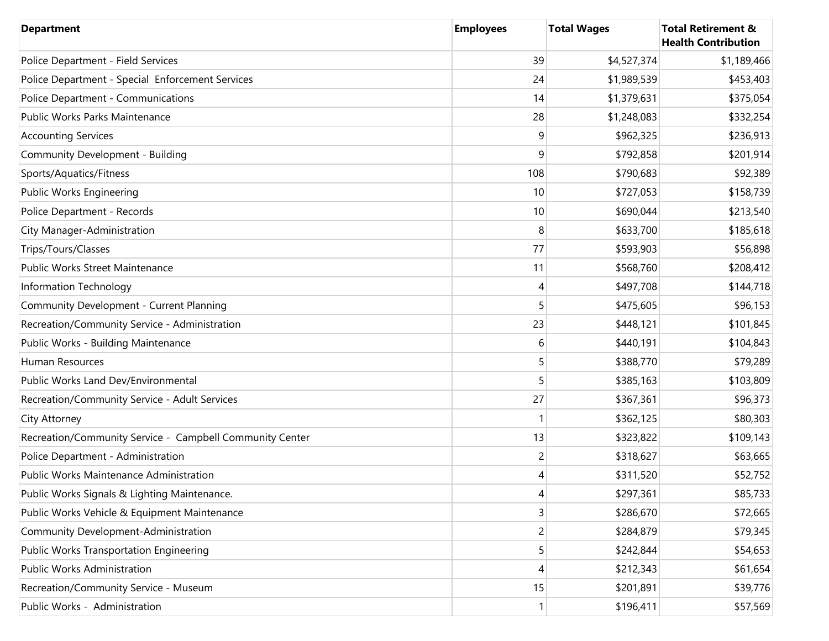| <b>Department</b>                                        | <b>Employees</b> | <b>Total Wages</b> | <b>Total Retirement &amp;</b><br><b>Health Contribution</b> |
|----------------------------------------------------------|------------------|--------------------|-------------------------------------------------------------|
| Police Department - Field Services                       | 39               | \$4,527,374        | \$1,189,466                                                 |
| Police Department - Special Enforcement Services         | 24               | \$1,989,539        | \$453,403                                                   |
| Police Department - Communications                       | 14               | \$1,379,631        | \$375,054                                                   |
| Public Works Parks Maintenance                           | 28               | \$1,248,083        | \$332,254                                                   |
| <b>Accounting Services</b>                               | 9                | \$962,325          | \$236,913                                                   |
| Community Development - Building                         | 9                | \$792,858          | \$201,914                                                   |
| Sports/Aquatics/Fitness                                  | 108              | \$790,683          | \$92,389                                                    |
| Public Works Engineering                                 | 10               | \$727,053          | \$158,739                                                   |
| Police Department - Records                              | 10               | \$690,044          | \$213,540                                                   |
| City Manager-Administration                              | 8                | \$633,700          | \$185,618                                                   |
| Trips/Tours/Classes                                      | 77               | \$593,903          | \$56,898                                                    |
| Public Works Street Maintenance                          | 11               | \$568,760          | \$208,412                                                   |
| Information Technology                                   | 4                | \$497,708          | \$144,718                                                   |
| Community Development - Current Planning                 | 5                | \$475,605          | \$96,153                                                    |
| Recreation/Community Service - Administration            | 23               | \$448,121          | \$101,845                                                   |
| Public Works - Building Maintenance                      | 6                | \$440,191          | \$104,843                                                   |
| Human Resources                                          | 5                | \$388,770          | \$79,289                                                    |
| Public Works Land Dev/Environmental                      | 5                | \$385,163          | \$103,809                                                   |
| Recreation/Community Service - Adult Services            | 27               | \$367,361          | \$96,373                                                    |
| City Attorney                                            |                  | \$362,125          | \$80,303                                                    |
| Recreation/Community Service - Campbell Community Center | 13               | \$323,822          | \$109,143                                                   |
| Police Department - Administration                       | 2                | \$318,627          | \$63,665                                                    |
| <b>Public Works Maintenance Administration</b>           | 4                | \$311,520          | \$52,752                                                    |
| Public Works Signals & Lighting Maintenance.             | 4                | \$297,361          | \$85,733                                                    |
| Public Works Vehicle & Equipment Maintenance             | 3                | \$286,670          | \$72,665                                                    |
| Community Development-Administration                     | $\overline{c}$   | \$284,879          | \$79,345                                                    |
| <b>Public Works Transportation Engineering</b>           | 5                | \$242,844          | \$54,653                                                    |
| Public Works Administration                              | 4                | \$212,343          | \$61,654                                                    |
| Recreation/Community Service - Museum                    | 15               | \$201,891          | \$39,776                                                    |
| Public Works - Administration                            |                  | \$196,411          | \$57,569                                                    |